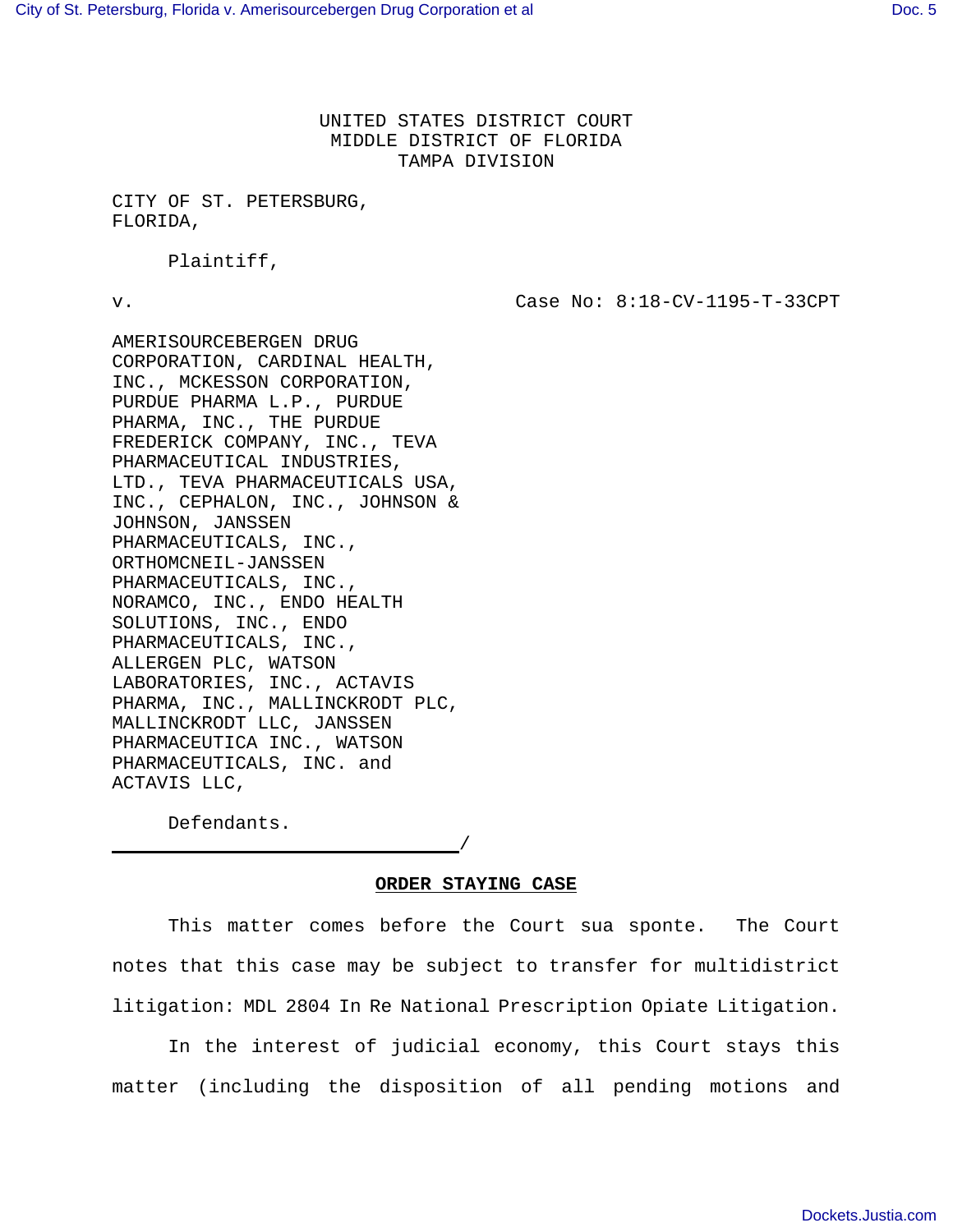UNITED STATES DISTRICT COURT MIDDLE DISTRICT OF FLORIDA TAMPA DIVISION

CITY OF ST. PETERSBURG, FLORIDA,

Plaintiff,

v. Case No: 8:18-CV-1195-T-33CPT

AMERISOURCEBERGEN DRUG CORPORATION, CARDINAL HEALTH, INC., MCKESSON CORPORATION, PURDUE PHARMA L.P., PURDUE PHARMA, INC., THE PURDUE FREDERICK COMPANY, INC., TEVA PHARMACEUTICAL INDUSTRIES, LTD., TEVA PHARMACEUTICALS USA, INC., CEPHALON, INC., JOHNSON & JOHNSON, JANSSEN PHARMACEUTICALS, INC., ORTHOMCNEIL-JANSSEN PHARMACEUTICALS, INC., NORAMCO, INC., ENDO HEALTH SOLUTIONS, INC., ENDO PHARMACEUTICALS, INC., ALLERGEN PLC, WATSON LABORATORIES, INC., ACTAVIS PHARMA, INC., MALLINCKRODT PLC, MALLINCKRODT LLC, JANSSEN PHARMACEUTICA INC., WATSON PHARMACEUTICALS, INC. and ACTAVIS LLC,

Defendants.

**ORDER STAYING CASE**

/

This matter comes before the Court sua sponte. The Court notes that this case may be subject to transfer for multidistrict litigation: MDL 2804 In Re National Prescription Opiate Litigation.

In the interest of judicial economy, this Court stays this matter (including the disposition of all pending motions and